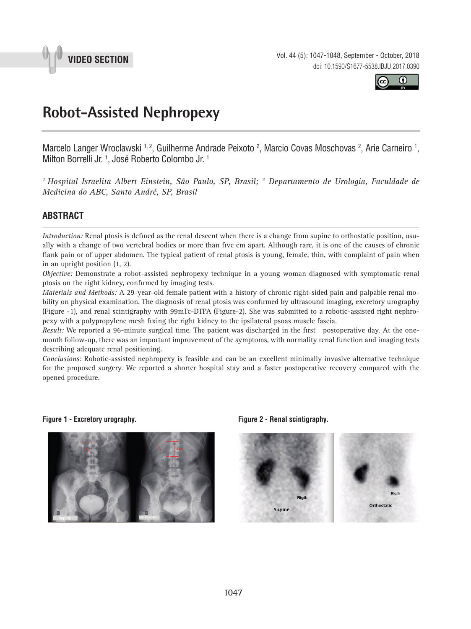

**VIDEO SECTION** Vol. 44 (5): 1047-1048, September - October, 2018 doi: 10.1590/S1677-5538.IBJU.2017.0390



# **Robot-Assisted Nephropexy \_\_\_\_\_\_\_\_\_\_\_\_\_\_\_\_\_\_\_\_\_\_\_\_\_\_\_\_\_\_\_\_\_\_\_\_\_\_\_\_\_\_\_\_\_\_\_**

Marcelo Langer Wroclawski <sup>1, 2</sup>, Guilherme Andrade Peixoto <sup>2</sup>, Marcio Covas Moschovas <sup>2</sup>, Arie Carneiro <sup>1</sup>, Milton Borrelli Jr. 1 , José Roberto Colombo Jr. 1

*1 Hospital Israelita Albert Einstein, São Paulo, SP, Brasil; 2 Departamento de Urologia, Faculdade de Medicina do ABC, Santo André, SP, Brasil*

# **ABSTRACT** *\_\_\_\_\_\_\_\_\_\_\_\_\_\_\_\_\_\_\_\_\_\_\_\_\_\_\_\_\_\_\_\_\_\_\_\_\_\_\_\_\_\_\_\_\_\_\_\_\_\_\_\_\_\_\_\_\_\_\_\_\_\_\_\_\_\_\_\_\_\_\_\_\_\_\_\_\_\_\_\_\_\_\_\_\_\_\_*

*Introduction:* Renal ptosis is defined as the renal descent when there is a change from supine to orthostatic position, usually with a change of two vertebral bodies or more than five cm apart. Although rare, it is one of the causes of chronic flank pain or of upper abdomen. The typical patient of renal ptosis is young, female, thin, with complaint of pain when in an upright position (1, 2).

*Objective:* Demonstrate a robot-assisted nephropexy technique in a young woman diagnosed with symptomatic renal ptosis on the right kidney, confirmed by imaging tests.

*Materials and Methods:* A 29-year-old female patient with a history of chronic right-sided pain and palpable renal mobility on physical examination. The diagnosis of renal ptosis was confirmed by ultrasound imaging, excretory urography (Figure -1), and renal scintigraphy with 99mTc-DTPA (Figure-2). She was submitted to a robotic-assisted right nephropexy with a polypropylene mesh fixing the right kidney to the ipsilateral psoas muscle fascia.

*Result:* We reported a 96-minute surgical time. The patient was discharged in the first postoperative day. At the onemonth follow-up, there was an important improvement of the symptoms, with normality renal function and imaging tests describing adequate renal positioning.

*Conclusions*: Robotic-assisted nephropexy is feasible and can be an excellent minimally invasive alternative technique for the proposed surgery. We reported a shorter hospital stay and a faster postoperative recovery compared with the opened procedure.

**Figure 1 - Excretory urography. Figure 2 - Renal scintigraphy.**